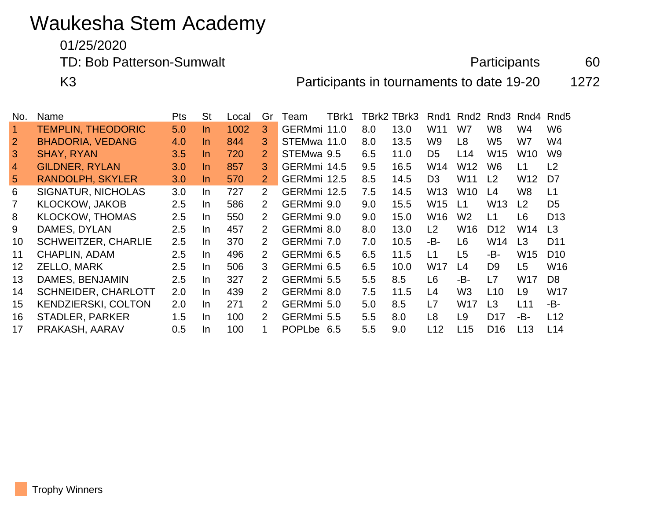## Waukesha Stem Academy

01/25/2020

TD: Bob Patterson-Sumwalt and the extension of the Participants and the Participants and the extension of the extension of the extension of the extension of the extension of the extension of the extension of the extension

K3 **Participants in tournaments to date 19-20** 1272

No. Name **Pts** St Local Gr Team TBrk1 TBrk2 TBrk3 Rnd1 Rnd2 Rnd3 Rnd4 Rnd5 TEMPLIN, THEODORIC 5.0 In 1002 3 GERMmi 11.0 8.0 13.0 W11 W7 W8 W4 W6 BHADORIA, VEDANG 4.0 In 844 3 STEMwa 11.0 8.0 13.5 W9 L8 W5 W7 W4 SHAY, RYAN 3.5 In 720 2 STEMwa 9.5 6.5 11.0 D5 L14 W15 W10 W9 4 GILDNER, RYLAN 3.0 In 857 3 GERMmi 14.5 9.5 16.5 W14 W12 W6 L1 L2 RANDOLPH, SKYLER 3.0 In 570 2 GERMmi 12.5 8.5 14.5 D3 W11 L2 W12 D7 SIGNATUR, NICHOLAS 3.0 In 727 2 GERMmi 12.5 7.5 14.5 W13 W10 L4 W8 L1 KLOCKOW, JAKOB 2.5 In 586 2 GERMmi 9.0 9.0 15.5 W15 L1 W13 L2 D5 KLOCKOW, THOMAS 2.5 In 550 2 GERMmi 9.0 9.0 15.0 W16 W2 L1 L6 D13 DAMES, DYLAN 2.5 In 457 2 GERMmi 8.0 8.0 13.0 L2 W16 D12 W14 L3 SCHWEITZER, CHARLIE 2.5 In 370 2 GERMmi 7.0 7.0 10.5 -B- L6 W14 L3 D11 CHAPLIN, ADAM 2.5 In 496 2 GERMmi 6.5 6.5 11.5 L1 L5 -B- W15 D10 ZELLO, MARK 2.5 In 506 3 GERMmi 6.5 6.5 10.0 W17 L4 D9 L5 W16 DAMES, BENJAMIN 2.5 In 327 2 GERMmi 5.5 5.5 8.5 L6 -B- L7 W17 D8 SCHNEIDER, CHARLOTT 2.0 In 439 2 GERMmi 8.0 7.5 11.5 L4 W3 L10 L9 W17 KENDZIERSKI, COLTON 2.0 In 271 2 GERMmi 5.0 5.0 8.5 L7 W17 L3 L11 -B- STADLER, PARKER 1.5 In 100 2 GERMmi 5.5 5.5 8.0 L8 L9 D17 -B- L12 PRAKASH, AARAV 0.5 In 100 1 POPLbe 6.5 5.5 9.0 L12 L15 D16 L13 L14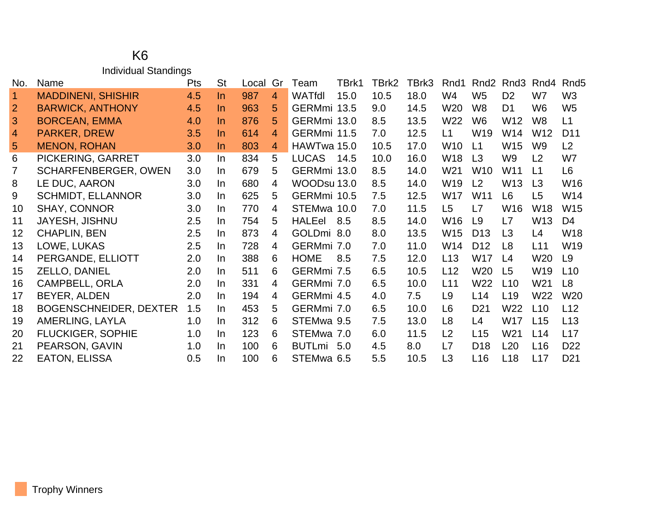## K6 Individual Standings

| No.            | Name                          | <b>Pts</b> | <b>St</b> | Local | Gr             | Team          | TBrk1 | TBrk2 | TBrk3 | Rnd1            | Rnd <sub>2</sub> | Rnd3            | Rnd4            | Rnd <sub>5</sub> |
|----------------|-------------------------------|------------|-----------|-------|----------------|---------------|-------|-------|-------|-----------------|------------------|-----------------|-----------------|------------------|
| $\overline{1}$ | <b>MADDINENI, SHISHIR</b>     | 4.5        | $\ln$     | 987   | $\overline{4}$ | <b>WATfdl</b> | 15.0  | 10.5  | 18.0  | W4              | W <sub>5</sub>   | D <sub>2</sub>  | W7              | W <sub>3</sub>   |
| $\overline{2}$ | <b>BARWICK, ANTHONY</b>       | 4.5        | $\ln$     | 963   | 5              | GERMmi 13.5   |       | 9.0   | 14.5  | W20             | W <sub>8</sub>   | D <sub>1</sub>  | W <sub>6</sub>  | W <sub>5</sub>   |
| 3              | <b>BORCEAN, EMMA</b>          | 4.0        | In.       | 876   | 5              | GERMmi 13.0   |       | 8.5   | 13.5  | W22             | W <sub>6</sub>   | W12             | W8              | L1               |
| $\overline{4}$ | <b>PARKER, DREW</b>           | 3.5        | In.       | 614   | 4              | GERMmi 11.5   |       | 7.0   | 12.5  | L1              | W <sub>19</sub>  | W14             | W12             | D <sub>11</sub>  |
| 5              | <b>MENON, ROHAN</b>           | 3.0        | In.       | 803   | $\overline{4}$ | HAWTwa 15.0   |       | 10.5  | 17.0  | W10             | L1               | W15             | W9              | L <sub>2</sub>   |
| 6              | PICKERING, GARRET             | 3.0        | $\ln$     | 834   | 5              | <b>LUCAS</b>  | 14.5  | 10.0  | 16.0  | W18             | L <sub>3</sub>   | W9              | L2              | W7               |
| $\overline{7}$ | <b>SCHARFENBERGER, OWEN</b>   | 3.0        | In.       | 679   | 5              | GERMmi 13.0   |       | 8.5   | 14.0  | W21             | W <sub>10</sub>  | W11             | L1              | L <sub>6</sub>   |
| 8              | LE DUC, AARON                 | 3.0        | In.       | 680   | 4              | WOODsu 13.0   |       | 8.5   | 14.0  | W19             | L <sub>2</sub>   | W <sub>13</sub> | L <sub>3</sub>  | W16              |
| 9              | <b>SCHMIDT, ELLANNOR</b>      | 3.0        | In.       | 625   | 5              | GERMmi 10.5   |       | 7.5   | 12.5  | W17             | W <sub>11</sub>  | L <sub>6</sub>  | L <sub>5</sub>  | W14              |
| 10             | <b>SHAY, CONNOR</b>           | 3.0        | In.       | 770   | 4              | STEMwa 10.0   |       | 7.0   | 11.5  | L <sub>5</sub>  | L7               | W <sub>16</sub> | W18             | W15              |
| 11             | <b>JAYESH, JISHNU</b>         | 2.5        | In.       | 754   | 5              | <b>HALEel</b> | 8.5   | 8.5   | 14.0  | W <sub>16</sub> | L <sub>9</sub>   | L7              | W <sub>13</sub> | D <sub>4</sub>   |
| 12             | <b>CHAPLIN, BEN</b>           | 2.5        | In.       | 873   | 4              | GOLDmi 8.0    |       | 8.0   | 13.5  | W15             | D <sub>13</sub>  | L3              | L4              | <b>W18</b>       |
| 13             | LOWE, LUKAS                   | 2.5        | In.       | 728   | 4              | GERMmi 7.0    |       | 7.0   | 11.0  | W14             | D <sub>12</sub>  | L8              | L11             | W19              |
| 14             | PERGANDE, ELLIOTT             | 2.0        | In.       | 388   | 6              | <b>HOME</b>   | 8.5   | 7.5   | 12.0  | L13             | W17              | L <sub>4</sub>  | W <sub>20</sub> | L9               |
| 15             | ZELLO, DANIEL                 | 2.0        | In.       | 511   | 6              | GERMmi 7.5    |       | 6.5   | 10.5  | L12             | W <sub>20</sub>  | L <sub>5</sub>  | W <sub>19</sub> | L10              |
| 16             | <b>CAMPBELL, ORLA</b>         | 2.0        | In.       | 331   | 4              | GERMmi 7.0    |       | 6.5   | 10.0  | L11             | W22              | L10             | W21             | L <sub>8</sub>   |
| 17             | BEYER, ALDEN                  | 2.0        | In.       | 194   | 4              | GERMmi 4.5    |       | 4.0   | 7.5   | L <sub>9</sub>  | L14              | L <sub>19</sub> | W22             | W <sub>20</sub>  |
| 18             | <b>BOGENSCHNEIDER, DEXTER</b> | 1.5        | In.       | 453   | 5              | GERMmi 7.0    |       | 6.5   | 10.0  | L6              | D <sub>21</sub>  | W22             | L10             | L12              |
| 19             | AMERLING, LAYLA               | 1.0        | In.       | 312   | 6              | STEMwa 9.5    |       | 7.5   | 13.0  | L <sub>8</sub>  | L4               | W17             | L15             | L13              |
| 20             | <b>FLUCKIGER, SOPHIE</b>      | 1.0        | In.       | 123   | 6              | STEMwa 7.0    |       | 6.0   | 11.5  | L2              | L15              | W <sub>21</sub> | L14             | L17              |
| 21             | PEARSON, GAVIN                | 1.0        | In.       | 100   | 6              | <b>BUTLmi</b> | 5.0   | 4.5   | 8.0   | L7              | D <sub>18</sub>  | L20             | L <sub>16</sub> | D <sub>22</sub>  |
| 22             | <b>EATON, ELISSA</b>          | 0.5        | In.       | 100   | 6              | STEMwa 6.5    |       | 5.5   | 10.5  | L <sub>3</sub>  | L16              | L18             | L17             | D <sub>21</sub>  |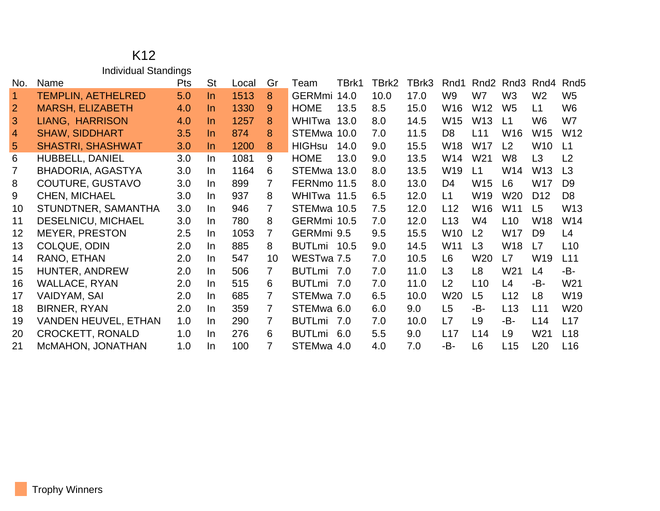## K12 Individual Standings

| No.             | Name                        | <b>Pts</b> | <b>St</b> | Local | Gr             | Team          | TBrk1 | TBrk2 | TBrk3 | Rnd1            | Rnd <sub>2</sub> | Rnd3            | Rnd4            | Rnd <sub>5</sub> |
|-----------------|-----------------------------|------------|-----------|-------|----------------|---------------|-------|-------|-------|-----------------|------------------|-----------------|-----------------|------------------|
| $\overline{1}$  | <b>TEMPLIN, AETHELRED</b>   | 5.0        | $\ln$     | 1513  | 8              | GERMmi 14.0   |       | 10.0  | 17.0  | W9              | W7               | W <sub>3</sub>  | W <sub>2</sub>  | W <sub>5</sub>   |
| $\overline{2}$  | <b>MARSH, ELIZABETH</b>     | 4.0        | In.       | 1330  | 9              | <b>HOME</b>   | 13.5  | 8.5   | 15.0  | W <sub>16</sub> | W <sub>12</sub>  | W <sub>5</sub>  | L1              | W <sub>6</sub>   |
| 3               | <b>LIANG, HARRISON</b>      | 4.0        | $\ln$     | 1257  | 8              | WHITwa        | 13.0  | 8.0   | 14.5  | W <sub>15</sub> | W <sub>13</sub>  | L1              | W <sub>6</sub>  | W7               |
| $\overline{4}$  | <b>SHAW, SIDDHART</b>       | 3.5        | In.       | 874   | 8              | STEMwa 10.0   |       | 7.0   | 11.5  | D <sub>8</sub>  | L11              | W <sub>16</sub> | W <sub>15</sub> | W <sub>12</sub>  |
| 5               | <b>SHASTRI, SHASHWAT</b>    | 3.0        | In.       | 1200  | 8              | <b>HIGHsu</b> | 14.0  | 9.0   | 15.5  | W <sub>18</sub> | W17              | L2              | W <sub>10</sub> | L1               |
| 6               | HUBBELL, DANIEL             | 3.0        | In        | 1081  | 9              | <b>HOME</b>   | 13.0  | 9.0   | 13.5  | W14             | W <sub>21</sub>  | W8              | L3              | L <sub>2</sub>   |
| 7               | <b>BHADORIA, AGASTYA</b>    | 3.0        | In        | 1164  | 6              | STEMwa 13.0   |       | 8.0   | 13.5  | W <sub>19</sub> | L1               | W14             | W <sub>13</sub> | L3               |
| 8               | COUTURE, GUSTAVO            | 3.0        | In.       | 899   | 7              | FERNmo 11.5   |       | 8.0   | 13.0  | D <sub>4</sub>  | W <sub>15</sub>  | L <sub>6</sub>  | <b>W17</b>      | D <sub>9</sub>   |
| 9               | <b>CHEN, MICHAEL</b>        | 3.0        | In.       | 937   | 8              | WHITwa 11.5   |       | 6.5   | 12.0  | L1              | W <sub>19</sub>  | W20             | D <sub>12</sub> | D <sub>8</sub>   |
| 10 <sup>°</sup> | STUNDTNER, SAMANTHA         | 3.0        | In.       | 946   | 7              | STEMwa 10.5   |       | 7.5   | 12.0  | L12             | W <sub>16</sub>  | W11             | L5              | W <sub>13</sub>  |
| 11              | DESELNICU, MICHAEL          | 3.0        | In.       | 780   | 8              | GERMmi 10.5   |       | 7.0   | 12.0  | L13             | W <sub>4</sub>   | L10             | W18             | W14              |
| 12              | <b>MEYER, PRESTON</b>       | 2.5        | In.       | 1053  | $\overline{7}$ | GERMmi 9.5    |       | 9.5   | 15.5  | W <sub>10</sub> | L <sub>2</sub>   | W17             | D <sub>9</sub>  | L4               |
| 13              | <b>COLQUE, ODIN</b>         | 2.0        | In.       | 885   | 8              | <b>BUTLmi</b> | 10.5  | 9.0   | 14.5  | W <sub>11</sub> | L3               | W18             | L7              | L10              |
| 14              | RANO, ETHAN                 | 2.0        | In.       | 547   | 10             | WESTwa 7.5    |       | 7.0   | 10.5  | L6              | W <sub>20</sub>  | L7              | W19             | L11              |
| 15              | HUNTER, ANDREW              | 2.0        | In.       | 506   | 7              | <b>BUTLmi</b> | 7.0   | 7.0   | 11.0  | L3              | L <sub>8</sub>   | W <sub>21</sub> | L4              | -B-              |
| 16              | WALLACE, RYAN               | 2.0        | In.       | 515   | 6              | <b>BUTLmi</b> | 7.0   | 7.0   | 11.0  | L2              | L10              | L4              | -B-             | W21              |
| 17              | <b>VAIDYAM, SAI</b>         | 2.0        | In.       | 685   | $\overline{7}$ | STEMwa 7.0    |       | 6.5   | 10.0  | W20             | L <sub>5</sub>   | L12             | L8              | W19              |
| 18              | <b>BIRNER, RYAN</b>         | 2.0        | In.       | 359   | 7              | STEMwa 6.0    |       | 6.0   | 9.0   | L <sub>5</sub>  | -B-              | L13             | L11             | W <sub>20</sub>  |
| 19              | <b>VANDEN HEUVEL, ETHAN</b> | 1.0        | In.       | 290   | 7              | <b>BUTLmi</b> | 7.0   | 7.0   | 10.0  | L7              | L <sub>9</sub>   | -B-             | L14             | L17              |
| 20              | <b>CROCKETT, RONALD</b>     | 1.0        | In.       | 276   | 6              | <b>BUTLmi</b> | 6.0   | 5.5   | 9.0   | L17             | L14              | L9              | W21             | L <sub>18</sub>  |
| 21              | McMAHON, JONATHAN           | 1.0        | In.       | 100   | 7              | STEMwa 4.0    |       | 4.0   | 7.0   | -B-             | L <sub>6</sub>   | L15             | L20             | L16              |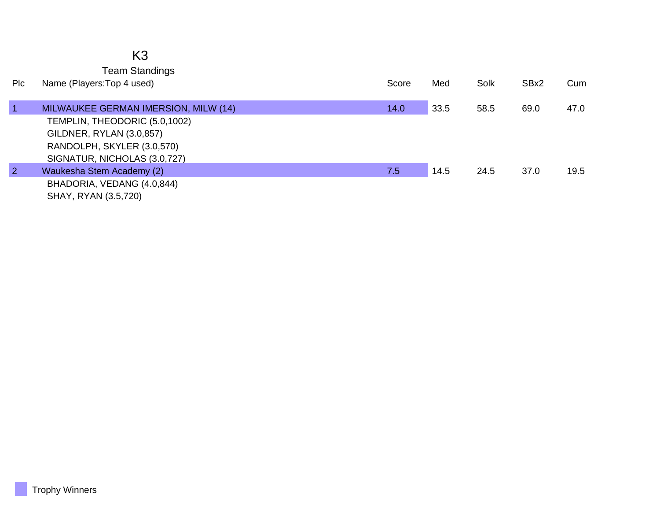|                | K <sub>3</sub>                                      |       |      |      |      |      |
|----------------|-----------------------------------------------------|-------|------|------|------|------|
| Plc            | <b>Team Standings</b><br>Name (Players: Top 4 used) | Score | Med  | Solk | SBx2 | Cum  |
|                |                                                     |       |      |      |      |      |
| $\vert$ 1      | MILWAUKEE GERMAN IMERSION, MILW (14)                | 14.0  | 33.5 | 58.5 | 69.0 | 47.0 |
|                | TEMPLIN, THEODORIC (5.0,1002)                       |       |      |      |      |      |
|                | GILDNER, RYLAN (3.0,857)                            |       |      |      |      |      |
|                | RANDOLPH, SKYLER (3.0,570)                          |       |      |      |      |      |
|                | SIGNATUR, NICHOLAS (3.0,727)                        |       |      |      |      |      |
| $\overline{2}$ | Waukesha Stem Academy (2)                           | 7.5   | 14.5 | 24.5 | 37.0 | 19.5 |
|                | BHADORIA, VEDANG (4.0,844)                          |       |      |      |      |      |
|                | SHAY, RYAN (3.5,720)                                |       |      |      |      |      |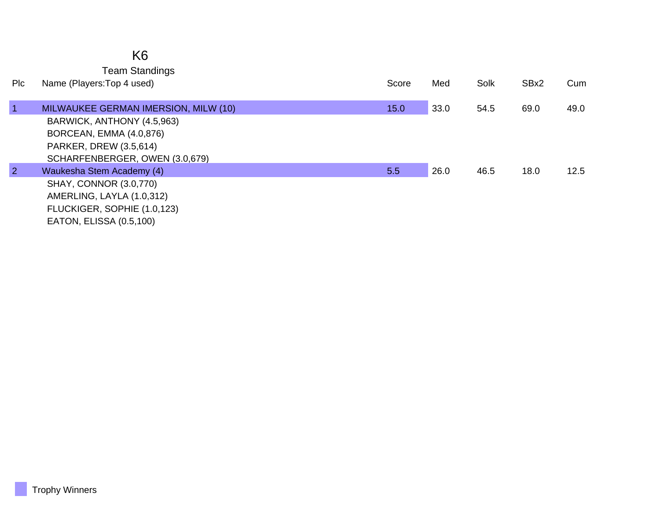## K6

Team Standings

| <b>PIC</b>     | Name (Players: Top 4 used)           | Score | Med  | Solk | SBx2 | Cum  |
|----------------|--------------------------------------|-------|------|------|------|------|
| 1              | MILWAUKEE GERMAN IMERSION, MILW (10) | 15.0  | 33.0 | 54.5 | 69.0 | 49.0 |
|                | BARWICK, ANTHONY (4.5,963)           |       |      |      |      |      |
|                | BORCEAN, EMMA (4.0,876)              |       |      |      |      |      |
|                | PARKER, DREW (3.5,614)               |       |      |      |      |      |
|                | SCHARFENBERGER, OWEN (3.0,679)       |       |      |      |      |      |
| $\overline{2}$ | Waukesha Stem Academy (4)            | 5.5   | 26.0 | 46.5 | 18.0 | 12.5 |
|                | <b>SHAY, CONNOR (3.0,770)</b>        |       |      |      |      |      |
|                | AMERLING, LAYLA (1.0,312)            |       |      |      |      |      |
|                | FLUCKIGER, SOPHIE (1.0,123)          |       |      |      |      |      |
|                | EATON, ELISSA (0.5,100)              |       |      |      |      |      |